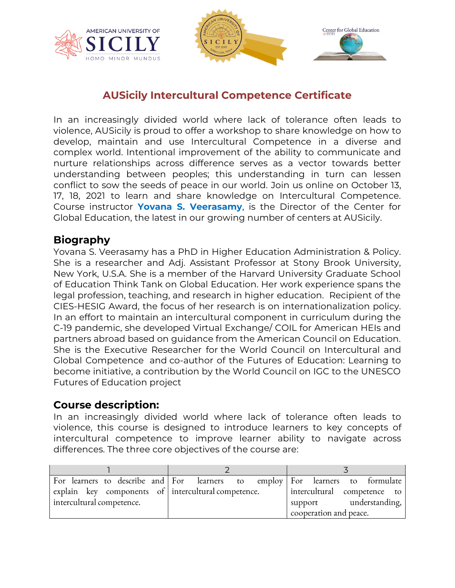



## **AUSicily Intercultural Competence Certificate**

In an increasingly divided world where lack of tolerance often leads to violence, AUSicily is proud to offer a workshop to share knowledge on how to develop, maintain and use Intercultural Competence in a diverse and complex world. Intentional improvement of the ability to communicate and nurture relationships across difference serves as a vector towards better understanding between peoples; this understanding in turn can lessen conflict to sow the seeds of peace in our world. Join us online on October 13, 17, 18, 2021 to learn and share knowledge on Intercultural Competence. Course instructor **Yovana S. Veerasamy**, is the Director of the Center for Global Education, the latest in our growing number of centers at AUSicily.

### **Biography**

Yovana S. Veerasamy has a PhD in Higher Education Administration & Policy. She is a researcher and Adj. Assistant Professor at Stony Brook University, New York, U.S.A. She is a member of the Harvard University Graduate School of Education Think Tank on Global Education. Her work experience spans the legal profession, teaching, and research in higher education. Recipient of the CIES-HESIG Award, the focus of her research is on internationalization policy. In an effort to maintain an intercultural component in curriculum during the C-19 pandemic, she developed Virtual Exchange/ COIL for American HEIs and partners abroad based on guidance from the American Council on Education. She is the Executive Researcher for the World Council on Intercultural and Global Competence and co-author of the Futures of Education: Learning to become initiative, a contribution by the World Council on IGC to the UNESCO Futures of Education project

### **Course description:**

In an increasingly divided world where lack of tolerance often leads to violence, this course is designed to introduce learners to key concepts of intercultural competence to improve learner ability to navigate across differences. The three core objectives of the course are:

|                                                     | For learners to describe and For learners to employ For learners to formulate |
|-----------------------------------------------------|-------------------------------------------------------------------------------|
| explain key components of intercultural competence. | intercultural competence to                                                   |
| intercultural competence.                           | understanding,<br>support                                                     |
|                                                     | cooperation and peace.                                                        |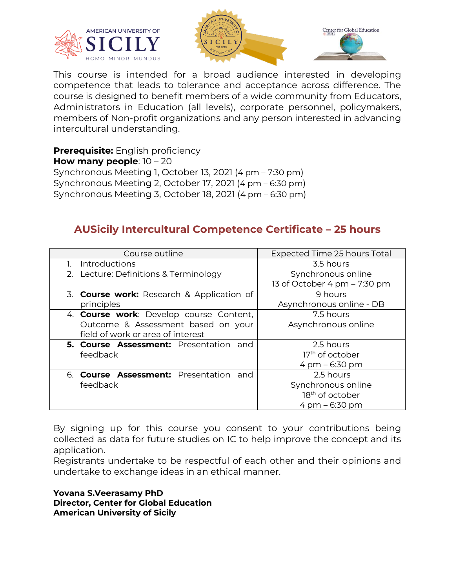



This course is intended for a broad audience interested in developing competence that leads to tolerance and acceptance across difference. The course is designed to benefit members of a wide community from Educators, Administrators in Education (all levels), corporate personnel, policymakers, members of Non-profit organizations and any person interested in advancing intercultural understanding.

**Prerequisite:** English proficiency **How many people**: 10 – 20 Synchronous Meeting 1, October 13, 2021 (4 pm – 7:30 pm) Synchronous Meeting 2, October 17, 2021 (4 pm – 6:30 pm) Synchronous Meeting 3, October 18, 2021 (4 pm – 6:30 pm)

## **AUSicily Intercultural Competence Certificate – 25 hours**

| Course outline                                   | Expected Time 25 hours Total     |
|--------------------------------------------------|----------------------------------|
| Introductions                                    | 3.5 hours                        |
| 2. Lecture: Definitions & Terminology            | Synchronous online               |
|                                                  | 13 of October 4 pm - 7:30 pm     |
| 3. <b>Course work:</b> Research & Application of | 9 hours                          |
| principles                                       | Asynchronous online - DB         |
| 4. Course work: Develop course Content,          | 7.5 hours                        |
| Outcome & Assessment based on your               | Asynchronous online              |
| field of work or area of interest                |                                  |
| 5. Course Assessment: Presentation and           | 2.5 hours                        |
| feedback                                         | $17th$ of october                |
|                                                  | $4 \text{ pm} - 6:30 \text{ pm}$ |
| 6. <b>Course Assessment:</b> Presentation and    | 2.5 hours                        |
| feedback                                         | Synchronous online               |
|                                                  | 18 <sup>th</sup> of october      |
|                                                  | $4 \text{ pm} - 6:30 \text{ pm}$ |

By signing up for this course you consent to your contributions being collected as data for future studies on IC to help improve the concept and its application.

Registrants undertake to be respectful of each other and their opinions and undertake to exchange ideas in an ethical manner.

**Yovana S.Veerasamy PhD Director, Center for Global Education American University of Sicily**